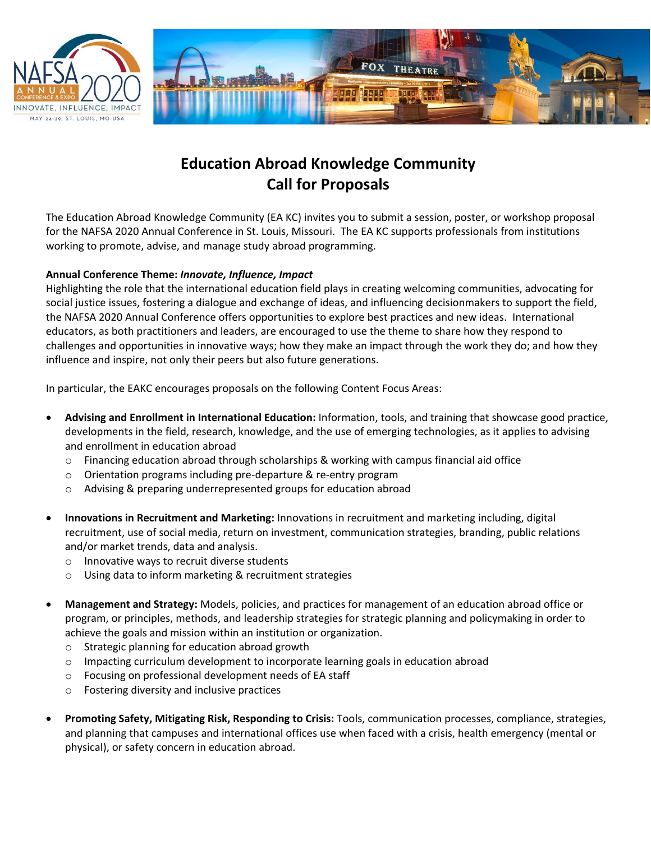



## **Education Abroad Knowledge Community Call for Proposals**

The Education Abroad Knowledge Community (EA KC) invites you to submit a session, poster, or workshop proposal for the NAFSA 2020 Annual Conference in St. Louis, Missouri. The EA KC supports professionals from institutions working to promote, advise, and manage study abroad programming.

## **Annual Conference Theme:** *Innovate, Influence, Impact*

Highlighting the role that the international education field plays in creating welcoming communities, advocating for social justice issues, fostering a dialogue and exchange of ideas, and influencing decisionmakers to support the field, the NAFSA 2020 Annual Conference offers opportunities to explore best practices and new ideas. International educators, as both practitioners and leaders, are encouraged to use the theme to share how they respond to challenges and opportunities in innovative ways; how they make an impact through the work they do; and how they influence and inspire, not only their peers but also future generations.

In particular, the EAKC encourages proposals on the following Content Focus Areas:

- **Advising and Enrollment in International Education:** Information, tools, and training that showcase good practice, developments in the field, research, knowledge, and the use of emerging technologies, as it applies to advising and enrollment in education abroad
	- $\circ$  Financing education abroad through scholarships & working with campus financial aid office
	- o Orientation programs including pre-departure & re-entry program
	- o Advising & preparing underrepresented groups for education abroad
- **Innovations in Recruitment and Marketing:** Innovations in recruitment and marketing including, digital recruitment, use of social media, return on investment, communication strategies, branding, public relations and/or market trends, data and analysis.
	- o Innovative ways to recruit diverse students
	- o Using data to inform marketing & recruitment strategies
- **Management and Strategy:** Models, policies, and practices for management of an education abroad office or program, or principles, methods, and leadership strategies for strategic planning and policymaking in order to achieve the goals and mission within an institution or organization.
	- o Strategic planning for education abroad growth
	- $\circ$  Impacting curriculum development to incorporate learning goals in education abroad
	- o Focusing on professional development needs of EA staff
	- o Fostering diversity and inclusive practices
- **Promoting Safety, Mitigating Risk, Responding to Crisis:** Tools, communication processes, compliance, strategies, and planning that campuses and international offices use when faced with a crisis, health emergency (mental or physical), or safety concern in education abroad.